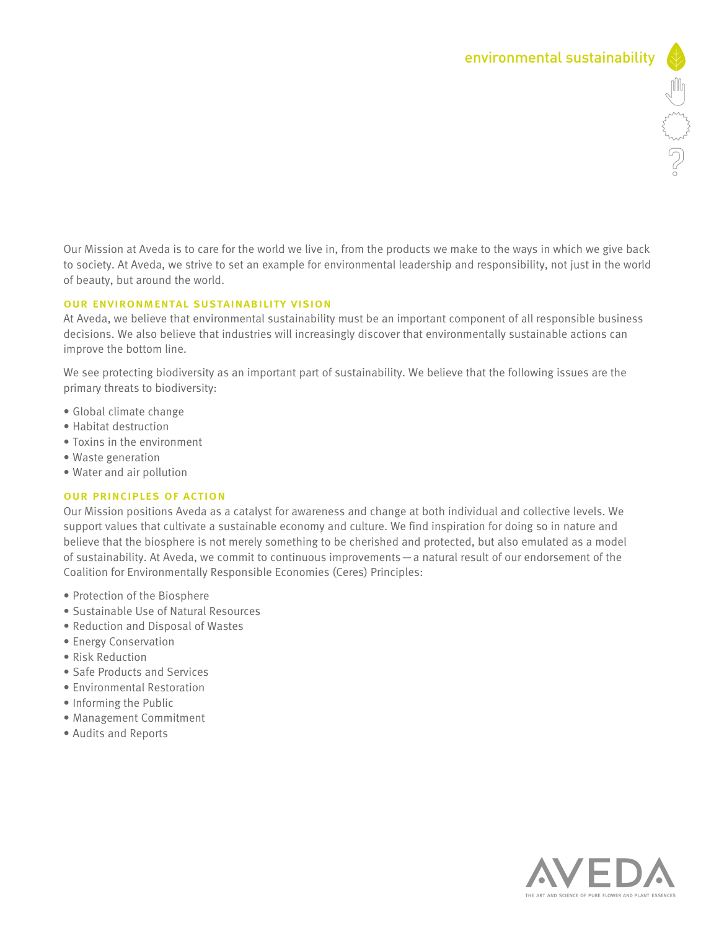Our Mission at Aveda is to care for the world we live in, from the products we make to the ways in which we give back to society. At Aveda, we strive to set an example for environmental leadership and responsibility, not just in the world of beauty, but around the world.

## our environmental sustainability vision

At Aveda, we believe that environmental sustainability must be an important component of all responsible business decisions. We also believe that industries will increasingly discover that environmentally sustainable actions can improve the bottom line.

We see protecting biodiversity as an important part of sustainability. We believe that the following issues are the primary threats to biodiversity:

- Global climate change
- Habitat destruction
- Toxins in the environment
- Waste generation
- Water and air pollution

## our principles of action

Our Mission positions Aveda as a catalyst for awareness and change at both individual and collective levels. We support values that cultivate a sustainable economy and culture. We find inspiration for doing so in nature and believe that the biosphere is not merely something to be cherished and protected, but also emulated as a model of sustainability. At Aveda, we commit to continuous improvements—a natural result of our endorsement of the Coalition for Environmentally Responsible Economies (Ceres) Principles:

- Protection of the Biosphere
- Sustainable Use of Natural Resources
- Reduction and Disposal of Wastes
- Energy Conservation
- Risk Reduction
- Safe Products and Services
- Environmental Restoration
- Informing the Public
- Management Commitment
- Audits and Reports